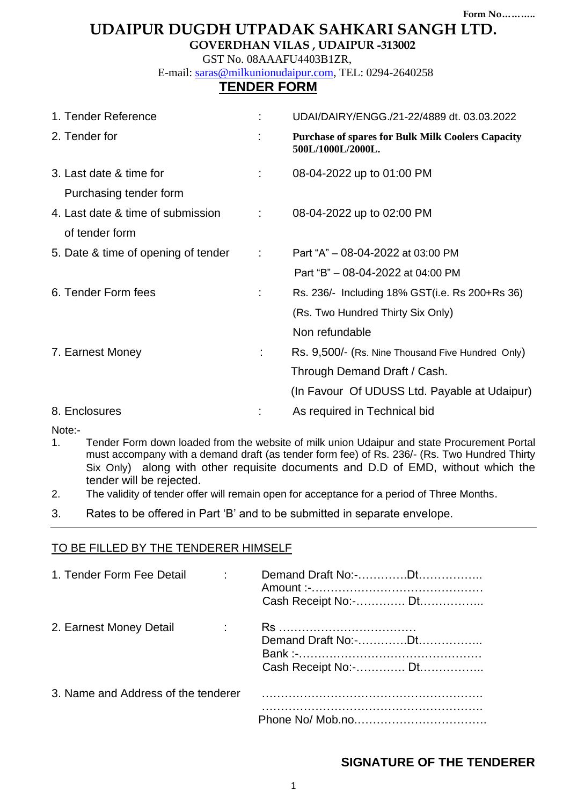# **UDAIPUR DUGDH UTPADAK SAHKARI SANGH LTD.**

**GOVERDHAN VILAS , UDAIPUR -313002**

 GST No. 08AAAFU4403B1ZR, E-mail: [saras@milkunionudaipur.com,](mailto:saras@milkunionudaipur.com) TEL: 0294-2640258

# **TENDER FORM**

| 1. Tender Reference                 |                            | UDAI/DAIRY/ENGG./21-22/4889 dt. 03.03.2022                                    |
|-------------------------------------|----------------------------|-------------------------------------------------------------------------------|
| 2. Tender for                       |                            | <b>Purchase of spares for Bulk Milk Coolers Capacity</b><br>500L/1000L/2000L. |
| 3. Last date & time for             |                            | 08-04-2022 up to 01:00 PM                                                     |
| Purchasing tender form              |                            |                                                                               |
| 4. Last date & time of submission   | $\mathcal{L}^{\text{max}}$ | 08-04-2022 up to 02:00 PM                                                     |
| of tender form                      |                            |                                                                               |
| 5. Date & time of opening of tender | $\mathbb{C}^2$             | Part "A" - 08-04-2022 at 03:00 PM                                             |
|                                     |                            | Part "B" - 08-04-2022 at 04:00 PM                                             |
| 6. Tender Form fees                 | ÷.                         | Rs. 236/- Including 18% GST(i.e. Rs 200+Rs 36)                                |
|                                     |                            | (Rs. Two Hundred Thirty Six Only)                                             |
|                                     |                            | Non refundable                                                                |
| 7. Earnest Money                    |                            | Rs. 9,500/- (Rs. Nine Thousand Five Hundred Only)                             |
|                                     |                            | Through Demand Draft / Cash.                                                  |
|                                     |                            | (In Favour Of UDUSS Ltd. Payable at Udaipur)                                  |
| 8. Enclosures                       |                            | As required in Technical bid                                                  |

Note:-

- 1. Tender Form down loaded from the website of milk union Udaipur and state Procurement Portal must accompany with a demand draft (as tender form fee) of Rs. 236/- (Rs. Two Hundred Thirty Six Only) along with other requisite documents and D.D of EMD, without which the tender will be rejected.
- 2. The validity of tender offer will remain open for acceptance for a period of Three Months.
- 3. Rates to be offered in Part 'B' and to be submitted in separate envelope.

## TO BE FILLED BY THE TENDERER HIMSELF

| 1. Tender Form Fee Detail           | Cash Receipt No:- Dt |
|-------------------------------------|----------------------|
| 2. Earnest Money Detail             | Cash Receipt No:- Dt |
| 3. Name and Address of the tenderer |                      |
|                                     |                      |

## **SIGNATURE OF THE TENDERER**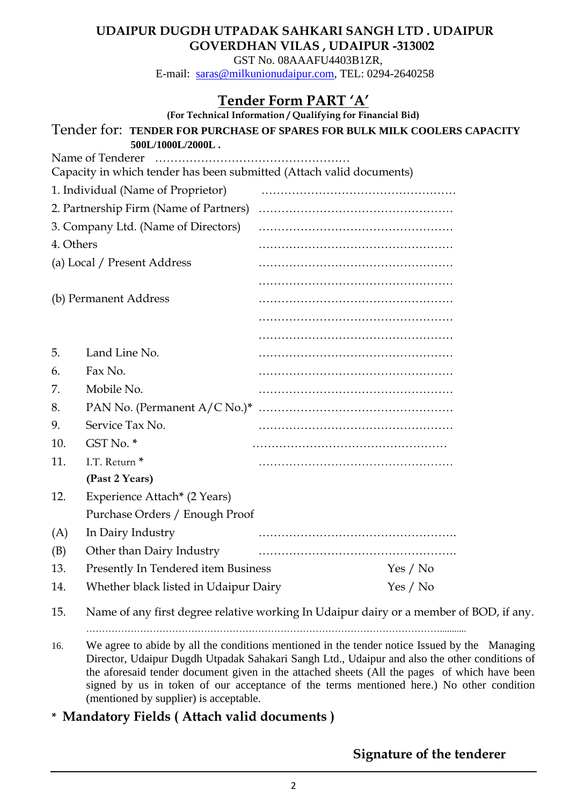GST No. 08AAAFU4403B1ZR, E-mail: [saras@milkunionudaipur.com,](mailto:saras@milkunionudaipur.com) TEL: 0294-2640258

# **Tender Form PART 'A'**

| (For Technical Information / Qualifying for Financial Bid) |                                                                                          |  |          |  |  |  |  |
|------------------------------------------------------------|------------------------------------------------------------------------------------------|--|----------|--|--|--|--|
|                                                            | Tender for: TENDER FOR PURCHASE OF SPARES FOR BULK MILK COOLERS CAPACITY                 |  |          |  |  |  |  |
|                                                            | 500L/1000L/2000L.                                                                        |  |          |  |  |  |  |
|                                                            | Name of Tenderer<br>Capacity in which tender has been submitted (Attach valid documents) |  |          |  |  |  |  |
|                                                            | 1. Individual (Name of Proprietor)                                                       |  |          |  |  |  |  |
|                                                            |                                                                                          |  |          |  |  |  |  |
|                                                            | 3. Company Ltd. (Name of Directors)                                                      |  |          |  |  |  |  |
| 4. Others                                                  |                                                                                          |  |          |  |  |  |  |
|                                                            |                                                                                          |  |          |  |  |  |  |
|                                                            | (a) Local / Present Address                                                              |  |          |  |  |  |  |
|                                                            |                                                                                          |  |          |  |  |  |  |
|                                                            | (b) Permanent Address                                                                    |  |          |  |  |  |  |
|                                                            |                                                                                          |  |          |  |  |  |  |
|                                                            |                                                                                          |  |          |  |  |  |  |
| 5.                                                         | Land Line No.                                                                            |  |          |  |  |  |  |
| 6.                                                         | Fax No.                                                                                  |  |          |  |  |  |  |
| 7.                                                         | Mobile No.                                                                               |  |          |  |  |  |  |
| 8.                                                         |                                                                                          |  |          |  |  |  |  |
| 9.                                                         | Service Tax No.                                                                          |  |          |  |  |  |  |
| 10.                                                        | GST No. *                                                                                |  |          |  |  |  |  |
| 11.                                                        | I.T. Return <sup>*</sup>                                                                 |  |          |  |  |  |  |
|                                                            | (Past 2 Years)                                                                           |  |          |  |  |  |  |
| 12.                                                        | Experience Attach* (2 Years)                                                             |  |          |  |  |  |  |
|                                                            | Purchase Orders / Enough Proof                                                           |  |          |  |  |  |  |
| (A)                                                        | In Dairy Industry                                                                        |  |          |  |  |  |  |
| (B)                                                        | Other than Dairy Industry                                                                |  |          |  |  |  |  |
| 13.                                                        | Presently In Tendered item Business                                                      |  | Yes / No |  |  |  |  |
| 14.                                                        | Whether black listed in Udaipur Dairy                                                    |  | Yes / No |  |  |  |  |
|                                                            |                                                                                          |  |          |  |  |  |  |

15. Name of any first degree relative working In Udaipur dairy or a member of BOD, if any. …………………………………………………………………………………………………...........

- 16. We agree to abide by all the conditions mentioned in the tender notice Issued by the Managing Director, Udaipur Dugdh Utpadak Sahakari Sangh Ltd., Udaipur and also the other conditions of the aforesaid tender document given in the attached sheets (All the pages of which have been signed by us in token of our acceptance of the terms mentioned here.) No other condition (mentioned by supplier) is acceptable.
- **\* Mandatory Fields ( Attach valid documents )**

**Signature of the tenderer**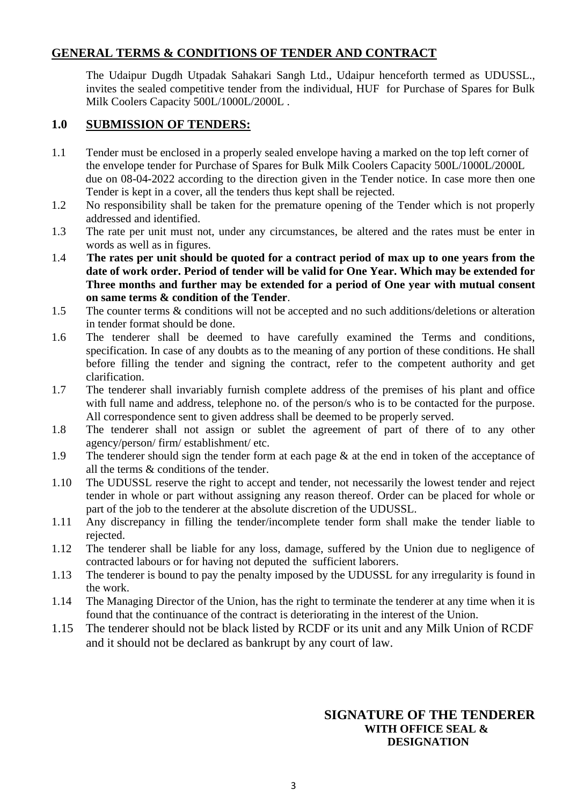# **GENERAL TERMS & CONDITIONS OF TENDER AND CONTRACT**

 The Udaipur Dugdh Utpadak Sahakari Sangh Ltd., Udaipur henceforth termed as UDUSSL., invites the sealed competitive tender from the individual, HUF for Purchase of Spares for Bulk Milk Coolers Capacity 500L/1000L/2000L .

### **1.0 SUBMISSION OF TENDERS:**

- 1.1 Tender must be enclosed in a properly sealed envelope having a marked on the top left corner of the envelope tender for Purchase of Spares for Bulk Milk Coolers Capacity 500L/1000L/2000L due on 08-04-2022 according to the direction given in the Tender notice. In case more then one Tender is kept in a cover, all the tenders thus kept shall be rejected.
- 1.2 No responsibility shall be taken for the premature opening of the Tender which is not properly addressed and identified.
- 1.3 The rate per unit must not, under any circumstances, be altered and the rates must be enter in words as well as in figures.
- 1.4 **The rates per unit should be quoted for a contract period of max up to one years from the date of work order. Period of tender will be valid for One Year. Which may be extended for Three months and further may be extended for a period of One year with mutual consent on same terms & condition of the Tender**.
- 1.5 The counter terms & conditions will not be accepted and no such additions/deletions or alteration in tender format should be done.
- 1.6 The tenderer shall be deemed to have carefully examined the Terms and conditions, specification. In case of any doubts as to the meaning of any portion of these conditions. He shall before filling the tender and signing the contract, refer to the competent authority and get clarification.
- 1.7 The tenderer shall invariably furnish complete address of the premises of his plant and office with full name and address, telephone no. of the person/s who is to be contacted for the purpose. All correspondence sent to given address shall be deemed to be properly served.
- 1.8 The tenderer shall not assign or sublet the agreement of part of there of to any other agency/person/ firm/ establishment/ etc.
- 1.9 The tenderer should sign the tender form at each page & at the end in token of the acceptance of all the terms & conditions of the tender.
- 1.10 The UDUSSL reserve the right to accept and tender, not necessarily the lowest tender and reject tender in whole or part without assigning any reason thereof. Order can be placed for whole or part of the job to the tenderer at the absolute discretion of the UDUSSL.
- 1.11 Any discrepancy in filling the tender/incomplete tender form shall make the tender liable to rejected.
- 1.12 The tenderer shall be liable for any loss, damage, suffered by the Union due to negligence of contracted labours or for having not deputed the sufficient laborers.
- 1.13 The tenderer is bound to pay the penalty imposed by the UDUSSL for any irregularity is found in the work.
- 1.14 The Managing Director of the Union, has the right to terminate the tenderer at any time when it is found that the continuance of the contract is deteriorating in the interest of the Union.
- 1.15 The tenderer should not be black listed by RCDF or its unit and any Milk Union of RCDF and it should not be declared as bankrupt by any court of law.

## **SIGNATURE OF THE TENDERER WITH OFFICE SEAL & DESIGNATION**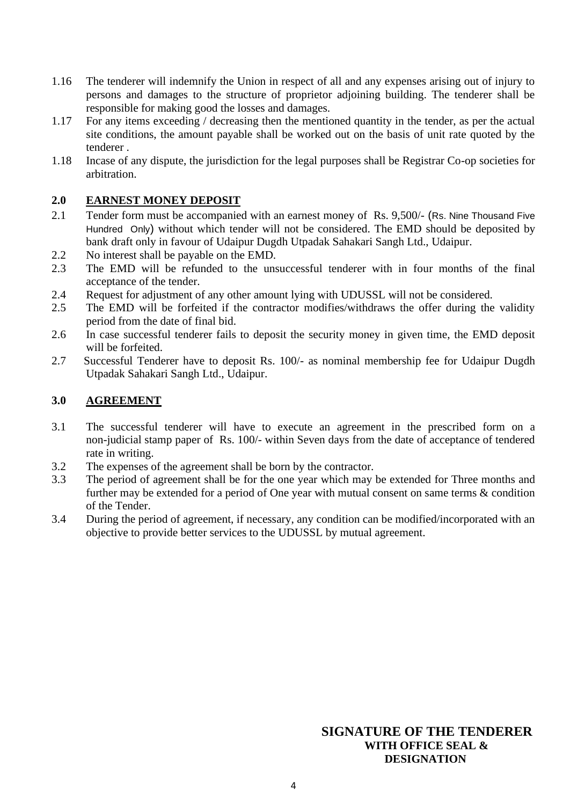- 1.16 The tenderer will indemnify the Union in respect of all and any expenses arising out of injury to persons and damages to the structure of proprietor adjoining building. The tenderer shall be responsible for making good the losses and damages.
- 1.17 For any items exceeding / decreasing then the mentioned quantity in the tender, as per the actual site conditions, the amount payable shall be worked out on the basis of unit rate quoted by the tenderer .
- 1.18 Incase of any dispute, the jurisdiction for the legal purposes shall be Registrar Co-op societies for arbitration.

### **2.0 EARNEST MONEY DEPOSIT**

- 2.1 Tender form must be accompanied with an earnest money of Rs. 9,500/- (Rs. Nine Thousand Five Hundred Only) without which tender will not be considered. The EMD should be deposited by bank draft only in favour of Udaipur Dugdh Utpadak Sahakari Sangh Ltd., Udaipur.
- 2.2 No interest shall be payable on the EMD.
- 2.3 The EMD will be refunded to the unsuccessful tenderer with in four months of the final acceptance of the tender.
- 2.4 Request for adjustment of any other amount lying with UDUSSL will not be considered.
- 2.5 The EMD will be forfeited if the contractor modifies/withdraws the offer during the validity period from the date of final bid.
- 2.6 In case successful tenderer fails to deposit the security money in given time, the EMD deposit will be forfeited.
- 2.7 Successful Tenderer have to deposit Rs. 100/- as nominal membership fee for Udaipur Dugdh Utpadak Sahakari Sangh Ltd., Udaipur.

### **3.0 AGREEMENT**

- 3.1 The successful tenderer will have to execute an agreement in the prescribed form on a non-judicial stamp paper of Rs. 100/- within Seven days from the date of acceptance of tendered rate in writing.
- 3.2 The expenses of the agreement shall be born by the contractor.
- 3.3 The period of agreement shall be for the one year which may be extended for Three months and further may be extended for a period of One year with mutual consent on same terms & condition of the Tender.
- 3.4 During the period of agreement, if necessary, any condition can be modified/incorporated with an objective to provide better services to the UDUSSL by mutual agreement.

## **SIGNATURE OF THE TENDERER WITH OFFICE SEAL & DESIGNATION**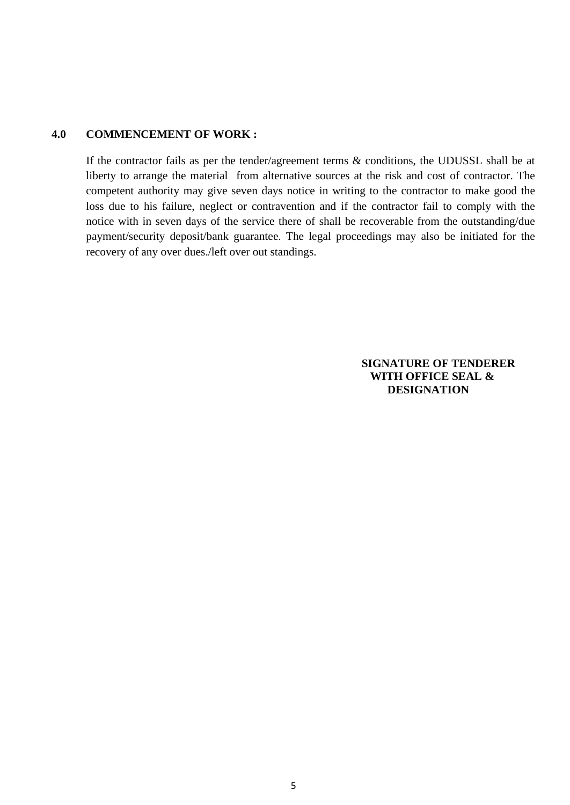#### **4.0 COMMENCEMENT OF WORK :**

If the contractor fails as per the tender/agreement terms & conditions, the UDUSSL shall be at liberty to arrange the material from alternative sources at the risk and cost of contractor. The competent authority may give seven days notice in writing to the contractor to make good the loss due to his failure, neglect or contravention and if the contractor fail to comply with the notice with in seven days of the service there of shall be recoverable from the outstanding/due payment/security deposit/bank guarantee. The legal proceedings may also be initiated for the recovery of any over dues./left over out standings.

#### **SIGNATURE OF TENDERER WITH OFFICE SEAL & DESIGNATION**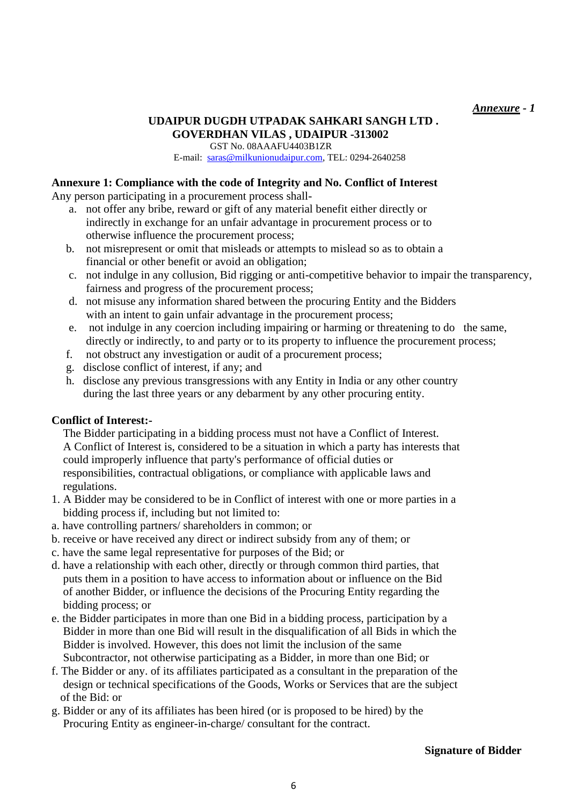#### *Annexure - 1*

# **UDAIPUR DUGDH UTPADAK SAHKARI SANGH LTD . GOVERDHAN VILAS , UDAIPUR -313002**

 GST No. 08AAAFU4403B1ZR E-mail: [saras@milkunionudaipur.com,](mailto:saras@milkunionudaipur.com) TEL: 0294-2640258

### **Annexure 1: Compliance with the code of Integrity and No. Conflict of Interest**

Any person participating in a procurement process shall-

- a. not offer any bribe, reward or gift of any material benefit either directly or indirectly in exchange for an unfair advantage in procurement process or to otherwise influence the procurement process;
- b. not misrepresent or omit that misleads or attempts to mislead so as to obtain a financial or other benefit or avoid an obligation;
- c. not indulge in any collusion, Bid rigging or anti-competitive behavior to impair the transparency, fairness and progress of the procurement process;
- d. not misuse any information shared between the procuring Entity and the Bidders with an intent to gain unfair advantage in the procurement process;
- e. not indulge in any coercion including impairing or harming or threatening to do the same, directly or indirectly, to and party or to its property to influence the procurement process;
- f. not obstruct any investigation or audit of a procurement process;
- g. disclose conflict of interest, if any; and
- h. disclose any previous transgressions with any Entity in India or any other country during the last three years or any debarment by any other procuring entity.

### **Conflict of Interest:-**

 The Bidder participating in a bidding process must not have a Conflict of Interest. A Conflict of Interest is, considered to be a situation in which a party has interests that could improperly influence that party's performance of official duties or responsibilities, contractual obligations, or compliance with applicable laws and regulations.

- 1. A Bidder may be considered to be in Conflict of interest with one or more parties in a bidding process if, including but not limited to:
- a. have controlling partners/ shareholders in common; or
- b. receive or have received any direct or indirect subsidy from any of them; or
- c. have the same legal representative for purposes of the Bid; or
- d. have a relationship with each other, directly or through common third parties, that puts them in a position to have access to information about or influence on the Bid of another Bidder, or influence the decisions of the Procuring Entity regarding the bidding process; or
- e. the Bidder participates in more than one Bid in a bidding process, participation by a Bidder in more than one Bid will result in the disqualification of all Bids in which the Bidder is involved. However, this does not limit the inclusion of the same Subcontractor, not otherwise participating as a Bidder, in more than one Bid; or
- f. The Bidder or any. of its affiliates participated as a consultant in the preparation of the design or technical specifications of the Goods, Works or Services that are the subject of the Bid: or
- g. Bidder or any of its affiliates has been hired (or is proposed to be hired) by the Procuring Entity as engineer-in-charge/ consultant for the contract.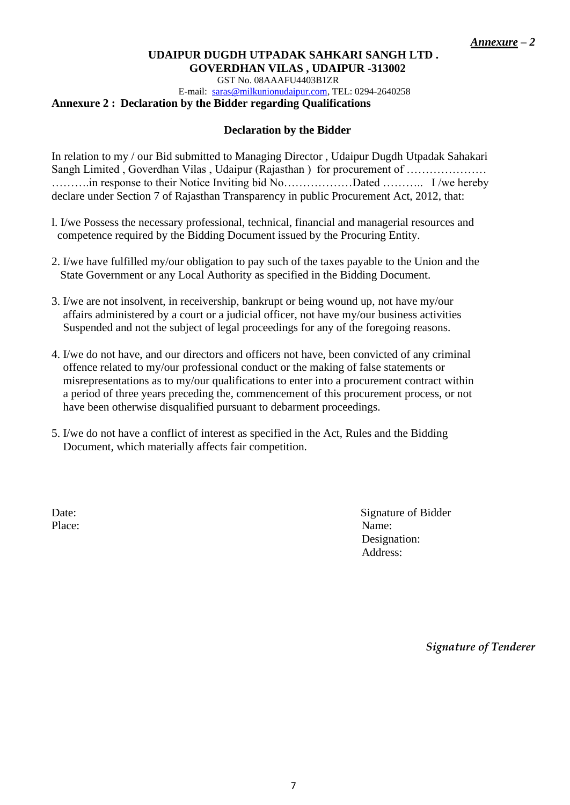GST No. 08AAAFU4403B1ZR

 E-mail: [saras@milkunionudaipur.com,](mailto:saras@milkunionudaipur.com) TEL: 0294-2640258 **Annexure 2 : Declaration by the Bidder regarding Qualifications**

#### **Declaration by the Bidder**

In relation to my / our Bid submitted to Managing Director , Udaipur Dugdh Utpadak Sahakari Sangh Limited, Goverdhan Vilas, Udaipur (Rajasthan) for procurement of ............................. ……….in response to their Notice Inviting bid No………………Dated ……….. I /we hereby declare under Section 7 of Rajasthan Transparency in public Procurement Act, 2012, that:

- l. I/we Possess the necessary professional, technical, financial and managerial resources and competence required by the Bidding Document issued by the Procuring Entity.
- 2. I/we have fulfilled my/our obligation to pay such of the taxes payable to the Union and the State Government or any Local Authority as specified in the Bidding Document.
- 3. I/we are not insolvent, in receivership, bankrupt or being wound up, not have my/our affairs administered by a court or a judicial officer, not have my/our business activities Suspended and not the subject of legal proceedings for any of the foregoing reasons.
- 4. I/we do not have, and our directors and officers not have, been convicted of any criminal offence related to my/our professional conduct or the making of false statements or misrepresentations as to my/our qualifications to enter into a procurement contract within a period of three years preceding the, commencement of this procurement process, or not have been otherwise disqualified pursuant to debarment proceedings.
- 5. I/we do not have a conflict of interest as specified in the Act, Rules and the Bidding Document, which materially affects fair competition.

Place: Name:

Date: Signature of Bidder Designation: Address:

*Signature of Tenderer*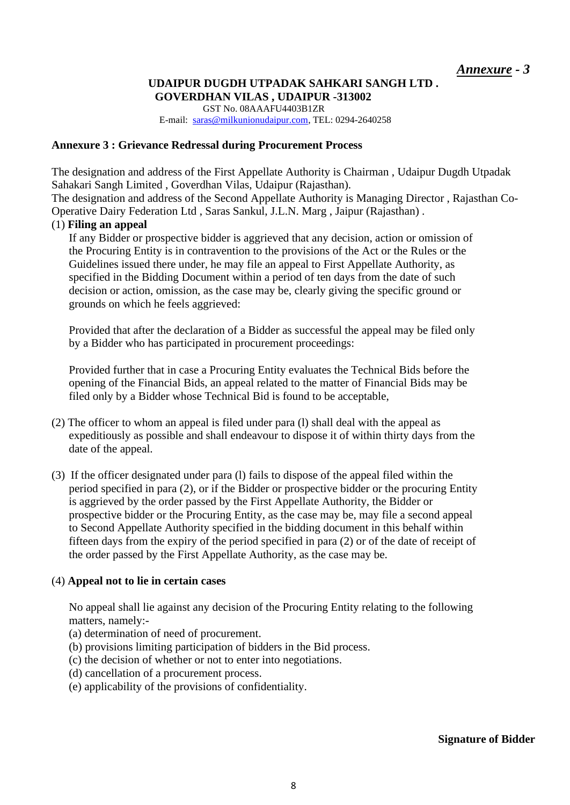GST No. 08AAAFU4403B1ZR E-mail: [saras@milkunionudaipur.com,](mailto:saras@milkunionudaipur.com) TEL: 0294-2640258

#### **Annexure 3 : Grievance Redressal during Procurement Process**

The designation and address of the First Appellate Authority is Chairman , Udaipur Dugdh Utpadak Sahakari Sangh Limited , Goverdhan Vilas, Udaipur (Rajasthan).

The designation and address of the Second Appellate Authority is Managing Director , Rajasthan Co-Operative Dairy Federation Ltd , Saras Sankul, J.L.N. Marg , Jaipur (Rajasthan) .

#### (1) **Filing an appeal**

If any Bidder or prospective bidder is aggrieved that any decision, action or omission of the Procuring Entity is in contravention to the provisions of the Act or the Rules or the Guidelines issued there under, he may file an appeal to First Appellate Authority, as specified in the Bidding Document within a period of ten days from the date of such decision or action, omission, as the case may be, clearly giving the specific ground or grounds on which he feels aggrieved:

Provided that after the declaration of a Bidder as successful the appeal may be filed only by a Bidder who has participated in procurement proceedings:

Provided further that in case a Procuring Entity evaluates the Technical Bids before the opening of the Financial Bids, an appeal related to the matter of Financial Bids may be filed only by a Bidder whose Technical Bid is found to be acceptable,

- (2) The officer to whom an appeal is filed under para (l) shall deal with the appeal as expeditiously as possible and shall endeavour to dispose it of within thirty days from the date of the appeal.
- (3) If the officer designated under para (l) fails to dispose of the appeal filed within the period specified in para (2), or if the Bidder or prospective bidder or the procuring Entity is aggrieved by the order passed by the First Appellate Authority, the Bidder or prospective bidder or the Procuring Entity, as the case may be, may file a second appeal to Second Appellate Authority specified in the bidding document in this behalf within fifteen days from the expiry of the period specified in para (2) or of the date of receipt of the order passed by the First Appellate Authority, as the case may be.

#### (4) **Appeal not to lie in certain cases**

No appeal shall lie against any decision of the Procuring Entity relating to the following matters, namely:-

- (a) determination of need of procurement.
- (b) provisions limiting participation of bidders in the Bid process.
- (c) the decision of whether or not to enter into negotiations.
- (d) cancellation of a procurement process.
- (e) applicability of the provisions of confidentiality.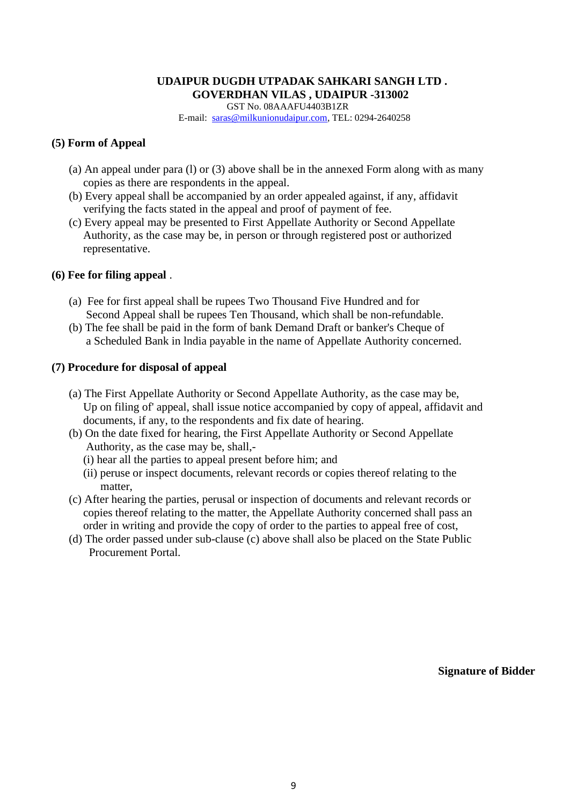GST No. 08AAAFU4403B1ZR E-mail: [saras@milkunionudaipur.com,](mailto:saras@milkunionudaipur.com) TEL: 0294-2640258

#### **(5) Form of Appeal**

- (a) An appeal under para (l) or (3) above shall be in the annexed Form along with as many copies as there are respondents in the appeal.
- (b) Every appeal shall be accompanied by an order appealed against, if any, affidavit verifying the facts stated in the appeal and proof of payment of fee.
- (c) Every appeal may be presented to First Appellate Authority or Second Appellate Authority, as the case may be, in person or through registered post or authorized representative.

#### **(6) Fee for filing appeal** .

- (a) Fee for first appeal shall be rupees Two Thousand Five Hundred and for Second Appeal shall be rupees Ten Thousand, which shall be non-refundable.
- (b) The fee shall be paid in the form of bank Demand Draft or banker's Cheque of a Scheduled Bank in lndia payable in the name of Appellate Authority concerned.

#### **(7) Procedure for disposal of appeal**

- (a) The First Appellate Authority or Second Appellate Authority, as the case may be, Up on filing of' appeal, shall issue notice accompanied by copy of appeal, affidavit and documents, if any, to the respondents and fix date of hearing.
- (b) On the date fixed for hearing, the First Appellate Authority or Second Appellate Authority, as the case may be, shall,-
	- (i) hear all the parties to appeal present before him; and
	- (ii) peruse or inspect documents, relevant records or copies thereof relating to the matter,
- (c) After hearing the parties, perusal or inspection of documents and relevant records or copies thereof relating to the matter, the Appellate Authority concerned shall pass an order in writing and provide the copy of order to the parties to appeal free of cost,
- (d) The order passed under sub-clause (c) above shall also be placed on the State Public Procurement Portal.

 **Signature of Bidder**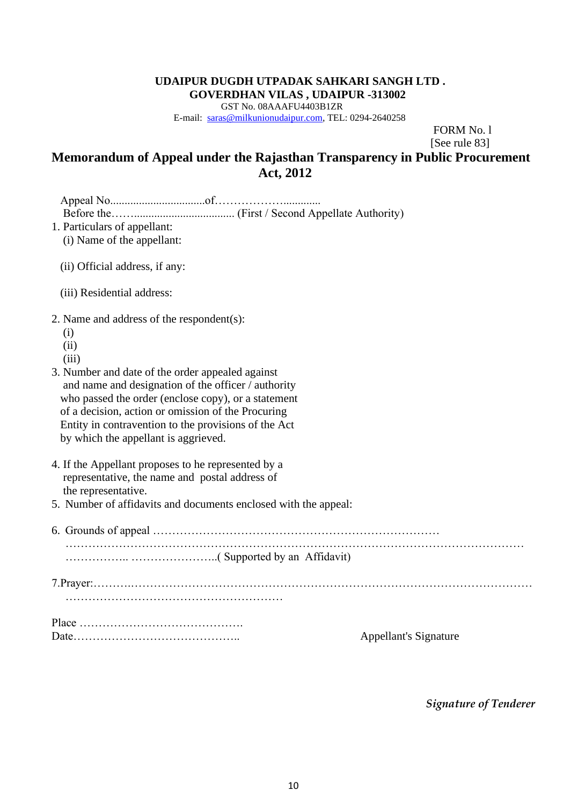GST No. 08AAAFU4403B1ZR E-mail: [saras@milkunionudaipur.com,](mailto:saras@milkunionudaipur.com) TEL: 0294-2640258

FORM No. l

[See rule 83]

# **Memorandum of Appeal under the Rajasthan Transparency in Public Procurement Act, 2012**

| 1. Particulars of appellant:                                    |                              |
|-----------------------------------------------------------------|------------------------------|
| (i) Name of the appellant:                                      |                              |
| (ii) Official address, if any:                                  |                              |
| (iii) Residential address:                                      |                              |
| 2. Name and address of the respondent(s):                       |                              |
| (i)                                                             |                              |
| (ii)                                                            |                              |
| (iii)                                                           |                              |
| 3. Number and date of the order appealed against                |                              |
| and name and designation of the officer / authority             |                              |
| who passed the order (enclose copy), or a statement             |                              |
| of a decision, action or omission of the Procuring              |                              |
| Entity in contravention to the provisions of the Act            |                              |
| by which the appellant is aggrieved.                            |                              |
| 4. If the Appellant proposes to he represented by a             |                              |
| representative, the name and postal address of                  |                              |
| the representative.                                             |                              |
| 5. Number of affidavits and documents enclosed with the appeal: |                              |
|                                                                 |                              |
|                                                                 |                              |
|                                                                 |                              |
|                                                                 |                              |
|                                                                 |                              |
|                                                                 | <b>Appellant's Signature</b> |
|                                                                 |                              |

*Signature of Tenderer*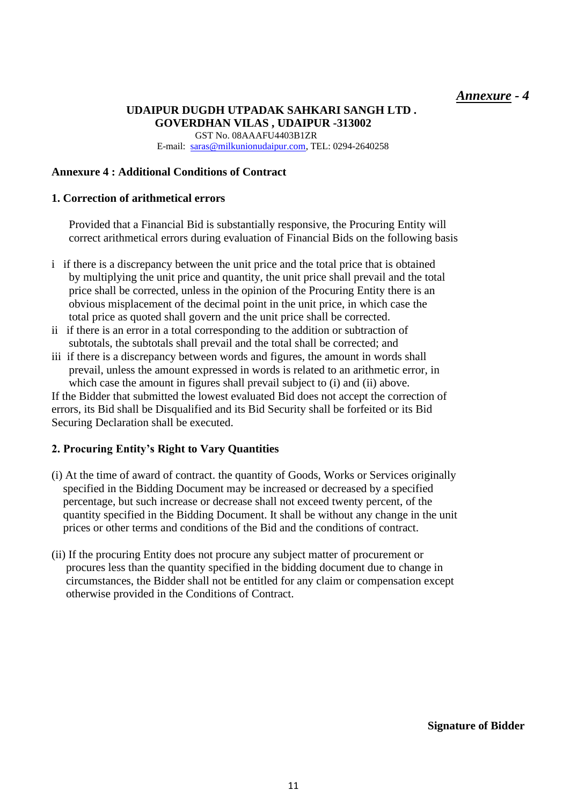GST No. 08AAAFU4403B1ZR E-mail: [saras@milkunionudaipur.com,](mailto:saras@milkunionudaipur.com) TEL: 0294-2640258

### **Annexure 4 : Additional Conditions of Contract**

#### **1. Correction of arithmetical errors**

Provided that a Financial Bid is substantially responsive, the Procuring Entity will correct arithmetical errors during evaluation of Financial Bids on the following basis

- i if there is a discrepancy between the unit price and the total price that is obtained by multiplying the unit price and quantity, the unit price shall prevail and the total price shall be corrected, unless in the opinion of the Procuring Entity there is an obvious misplacement of the decimal point in the unit price, in which case the total price as quoted shall govern and the unit price shall be corrected.
- ii if there is an error in a total corresponding to the addition or subtraction of subtotals, the subtotals shall prevail and the total shall be corrected; and
- iii if there is a discrepancy between words and figures, the amount in words shall prevail, unless the amount expressed in words is related to an arithmetic error, in which case the amount in figures shall prevail subject to (i) and (ii) above.

If the Bidder that submitted the lowest evaluated Bid does not accept the correction of errors, its Bid shall be Disqualified and its Bid Security shall be forfeited or its Bid Securing Declaration shall be executed.

#### **2. Procuring Entity's Right to Vary Quantities**

- (i) At the time of award of contract. the quantity of Goods, Works or Services originally specified in the Bidding Document may be increased or decreased by a specified percentage, but such increase or decrease shall not exceed twenty percent, of the quantity specified in the Bidding Document. It shall be without any change in the unit prices or other terms and conditions of the Bid and the conditions of contract.
- (ii) If the procuring Entity does not procure any subject matter of procurement or procures less than the quantity specified in the bidding document due to change in circumstances, the Bidder shall not be entitled for any claim or compensation except otherwise provided in the Conditions of Contract.

 **Signature of Bidder**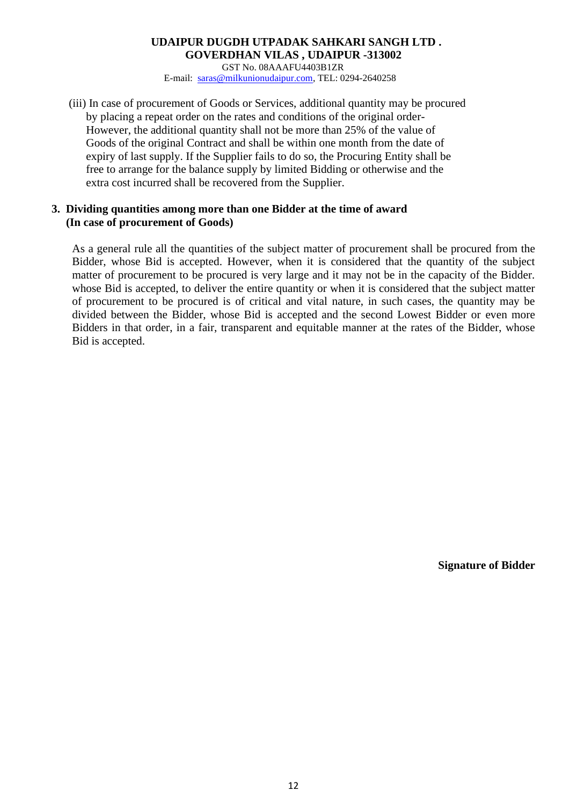GST No. 08AAAFU4403B1ZR E-mail: [saras@milkunionudaipur.com,](mailto:saras@milkunionudaipur.com) TEL: 0294-2640258

(iii) In case of procurement of Goods or Services, additional quantity may be procured by placing a repeat order on the rates and conditions of the original order- However, the additional quantity shall not be more than 25% of the value of Goods of the original Contract and shall be within one month from the date of expiry of last supply. If the Supplier fails to do so, the Procuring Entity shall be free to arrange for the balance supply by limited Bidding or otherwise and the extra cost incurred shall be recovered from the Supplier.

#### **3. Dividing quantities among more than one Bidder at the time of award (In case of procurement of Goods)**

As a general rule all the quantities of the subject matter of procurement shall be procured from the Bidder, whose Bid is accepted. However, when it is considered that the quantity of the subject matter of procurement to be procured is very large and it may not be in the capacity of the Bidder. whose Bid is accepted, to deliver the entire quantity or when it is considered that the subject matter of procurement to be procured is of critical and vital nature, in such cases, the quantity may be divided between the Bidder, whose Bid is accepted and the second Lowest Bidder or even more Bidders in that order, in a fair, transparent and equitable manner at the rates of the Bidder, whose Bid is accepted.

**Signature of Bidder**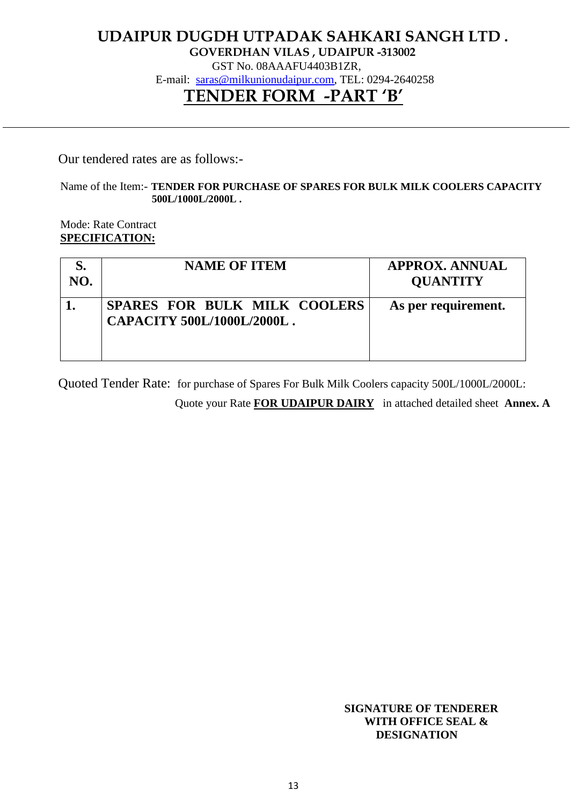# **UDAIPUR DUGDH UTPADAK SAHKARI SANGH LTD .**

**GOVERDHAN VILAS , UDAIPUR -313002**

GST No. 08AAAFU4403B1ZR,

E-mail: [saras@milkunionudaipur.com,](mailto:saras@milkunionudaipur.com) TEL: 0294-2640258

# **TENDER FORM -PART 'B'**

Our tendered rates are as follows:-

#### Name of the Item:- **TENDER FOR PURCHASE OF SPARES FOR BULK MILK COOLERS CAPACITY 500L/1000L/2000L .**

 Mode: Rate Contract **SPECIFICATION:**

| NO. | <b>NAME OF ITEM</b>                                        | <b>APPROX. ANNUAL</b><br><b>QUANTITY</b> |
|-----|------------------------------------------------------------|------------------------------------------|
|     | SPARES FOR BULK MILK COOLERS<br>CAPACITY 500L/1000L/2000L. | As per requirement.                      |

Quoted Tender Rate: for purchase of Spares For Bulk Milk Coolers capacity 500L/1000L/2000L:

Quote your Rate **FOR UDAIPUR DAIRY** in attached detailed sheet **Annex. A** 

 **SIGNATURE OF TENDERER WITH OFFICE SEAL & DESIGNATION**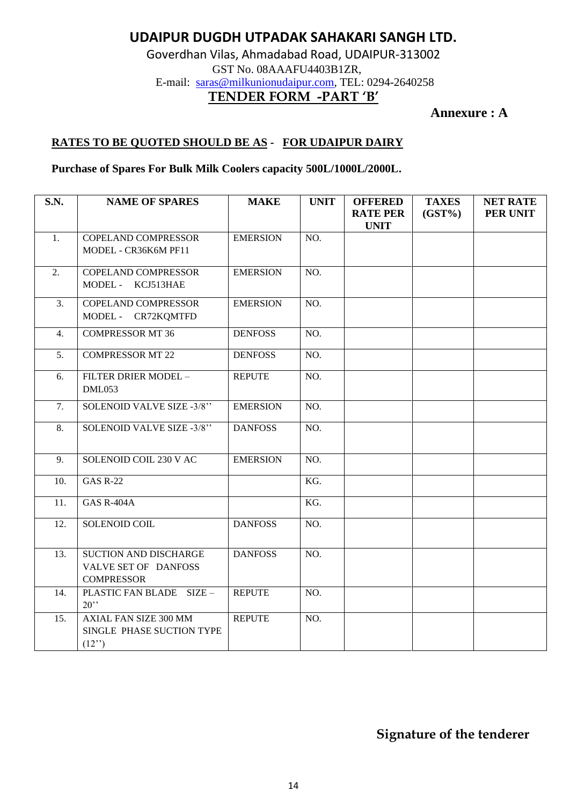# **UDAIPUR DUGDH UTPADAK SAHAKARI SANGH LTD.**

Goverdhan Vilas, Ahmadabad Road, UDAIPUR-313002 GST No. 08AAAFU4403B1ZR, E-mail: [saras@milkunionudaipur.com,](mailto:saras@milkunionudaipur.com) TEL: 0294-2640258 **TENDER FORM -PART 'B'**

**Annexure : A**

# **RATES TO BE QUOTED SHOULD BE AS - FOR UDAIPUR DAIRY**

**Purchase of Spares For Bulk Milk Coolers capacity 500L/1000L/2000L.**

| <b>S.N.</b>      | <b>NAME OF SPARES</b>        | <b>MAKE</b>     | <b>UNIT</b> | <b>OFFERED</b><br><b>RATE PER</b> | <b>TAXES</b><br>$(GST\%)$ | <b>NET RATE</b><br>PER UNIT |
|------------------|------------------------------|-----------------|-------------|-----------------------------------|---------------------------|-----------------------------|
|                  |                              |                 |             | <b>UNIT</b>                       |                           |                             |
| 1.               | <b>COPELAND COMPRESSOR</b>   | <b>EMERSION</b> | NO.         |                                   |                           |                             |
|                  | MODEL - CR36K6M PF11         |                 |             |                                   |                           |                             |
| $\overline{2}$ . | <b>COPELAND COMPRESSOR</b>   | <b>EMERSION</b> | NO.         |                                   |                           |                             |
|                  | MODEL - KCJ513HAE            |                 |             |                                   |                           |                             |
| 3.               | COPELAND COMPRESSOR          | <b>EMERSION</b> | NO.         |                                   |                           |                             |
|                  | MODEL - CR72KQMTFD           |                 |             |                                   |                           |                             |
| 4.               | <b>COMPRESSOR MT 36</b>      | <b>DENFOSS</b>  | NO.         |                                   |                           |                             |
| 5.               | <b>COMPRESSOR MT 22</b>      | <b>DENFOSS</b>  | NO.         |                                   |                           |                             |
| 6.               | FILTER DRIER MODEL -         | <b>REPUTE</b>   | NO.         |                                   |                           |                             |
|                  | DML053                       |                 |             |                                   |                           |                             |
| 7.               | SOLENOID VALVE SIZE -3/8"    | <b>EMERSION</b> | NO.         |                                   |                           |                             |
| 8.               | SOLENOID VALVE SIZE -3/8"    | <b>DANFOSS</b>  | NO.         |                                   |                           |                             |
| 9.               | SOLENOID COIL 230 V AC       | <b>EMERSION</b> | NO.         |                                   |                           |                             |
| 10.              | <b>GAS R-22</b>              |                 | KG.         |                                   |                           |                             |
| 11.              | <b>GAS R-404A</b>            |                 | KG.         |                                   |                           |                             |
| 12.              | SOLENOID COIL                | <b>DANFOSS</b>  | NO.         |                                   |                           |                             |
| 13.              | SUCTION AND DISCHARGE        | <b>DANFOSS</b>  | NO.         |                                   |                           |                             |
|                  | VALVE SET OF DANFOSS         |                 |             |                                   |                           |                             |
|                  | <b>COMPRESSOR</b>            |                 |             |                                   |                           |                             |
| 14.              | PLASTIC FAN BLADE SIZE -     | <b>REPUTE</b>   | NO.         |                                   |                           |                             |
|                  | 20                           |                 |             |                                   |                           |                             |
| 15.              | <b>AXIAL FAN SIZE 300 MM</b> | <b>REPUTE</b>   | NO.         |                                   |                           |                             |
|                  | SINGLE PHASE SUCTION TYPE    |                 |             |                                   |                           |                             |
|                  | (12")                        |                 |             |                                   |                           |                             |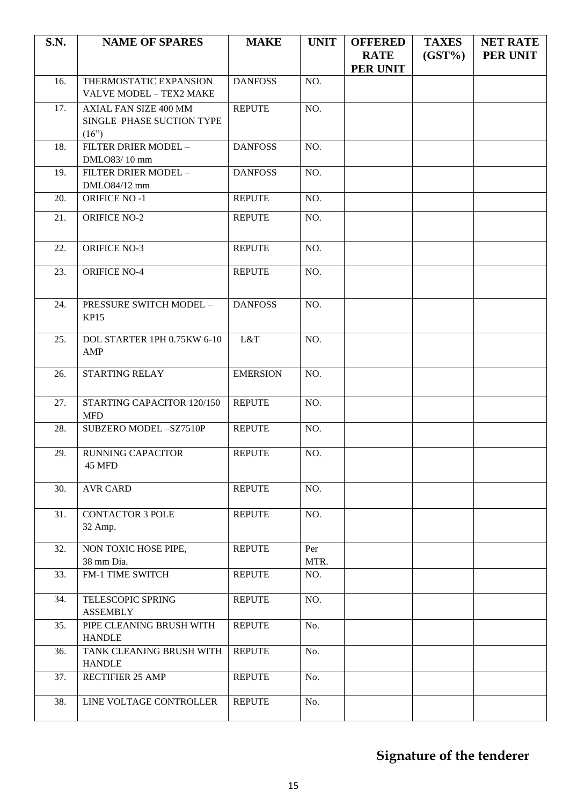| S.N. | <b>NAME OF SPARES</b>                                       | <b>MAKE</b>     | <b>UNIT</b> | <b>OFFERED</b><br><b>RATE</b><br><b>PER UNIT</b> | <b>TAXES</b><br>$(GST\%)$ | <b>NET RATE</b><br><b>PER UNIT</b> |
|------|-------------------------------------------------------------|-----------------|-------------|--------------------------------------------------|---------------------------|------------------------------------|
| 16.  | THERMOSTATIC EXPANSION<br>VALVE MODEL - TEX2 MAKE           | <b>DANFOSS</b>  | NO.         |                                                  |                           |                                    |
| 17.  | AXIAL FAN SIZE 400 MM<br>SINGLE PHASE SUCTION TYPE<br>(16") | <b>REPUTE</b>   | NO.         |                                                  |                           |                                    |
| 18.  | FILTER DRIER MODEL -<br>DMLO83/10 mm                        | <b>DANFOSS</b>  | NO.         |                                                  |                           |                                    |
| 19.  | FILTER DRIER MODEL -<br>DMLO84/12 mm                        | <b>DANFOSS</b>  | NO.         |                                                  |                           |                                    |
| 20.  | <b>ORIFICE NO-1</b>                                         | <b>REPUTE</b>   | NO.         |                                                  |                           |                                    |
| 21.  | <b>ORIFICE NO-2</b>                                         | <b>REPUTE</b>   | NO.         |                                                  |                           |                                    |
| 22.  | <b>ORIFICE NO-3</b>                                         | <b>REPUTE</b>   | NO.         |                                                  |                           |                                    |
| 23.  | <b>ORIFICE NO-4</b>                                         | <b>REPUTE</b>   | NO.         |                                                  |                           |                                    |
| 24.  | PRESSURE SWITCH MODEL -<br><b>KP15</b>                      | <b>DANFOSS</b>  | NO.         |                                                  |                           |                                    |
| 25.  | DOL STARTER 1PH 0.75KW 6-10<br>AMP                          | L&T             | NO.         |                                                  |                           |                                    |
| 26.  | <b>STARTING RELAY</b>                                       | <b>EMERSION</b> | NO.         |                                                  |                           |                                    |
| 27.  | STARTING CAPACITOR 120/150<br><b>MFD</b>                    | <b>REPUTE</b>   | NO.         |                                                  |                           |                                    |
| 28.  | SUBZERO MODEL-SZ7510P                                       | <b>REPUTE</b>   | NO.         |                                                  |                           |                                    |
| 29.  | <b>RUNNING CAPACITOR</b><br>45 MFD                          | <b>REPUTE</b>   | NO.         |                                                  |                           |                                    |
| 30.  | <b>AVR CARD</b>                                             | <b>REPUTE</b>   | NO.         |                                                  |                           |                                    |
| 31.  | <b>CONTACTOR 3 POLE</b><br>32 Amp.                          | <b>REPUTE</b>   | NO.         |                                                  |                           |                                    |
| 32.  | NON TOXIC HOSE PIPE,<br>38 mm Dia.                          | <b>REPUTE</b>   | Per<br>MTR. |                                                  |                           |                                    |
| 33.  | FM-1 TIME SWITCH                                            | <b>REPUTE</b>   | NO.         |                                                  |                           |                                    |
| 34.  | TELESCOPIC SPRING<br><b>ASSEMBLY</b>                        | <b>REPUTE</b>   | NO.         |                                                  |                           |                                    |
| 35.  | PIPE CLEANING BRUSH WITH<br><b>HANDLE</b>                   | <b>REPUTE</b>   | No.         |                                                  |                           |                                    |
| 36.  | TANK CLEANING BRUSH WITH<br><b>HANDLE</b>                   | <b>REPUTE</b>   | No.         |                                                  |                           |                                    |
| 37.  | RECTIFIER 25 AMP                                            | <b>REPUTE</b>   | No.         |                                                  |                           |                                    |
| 38.  | LINE VOLTAGE CONTROLLER                                     | <b>REPUTE</b>   | No.         |                                                  |                           |                                    |